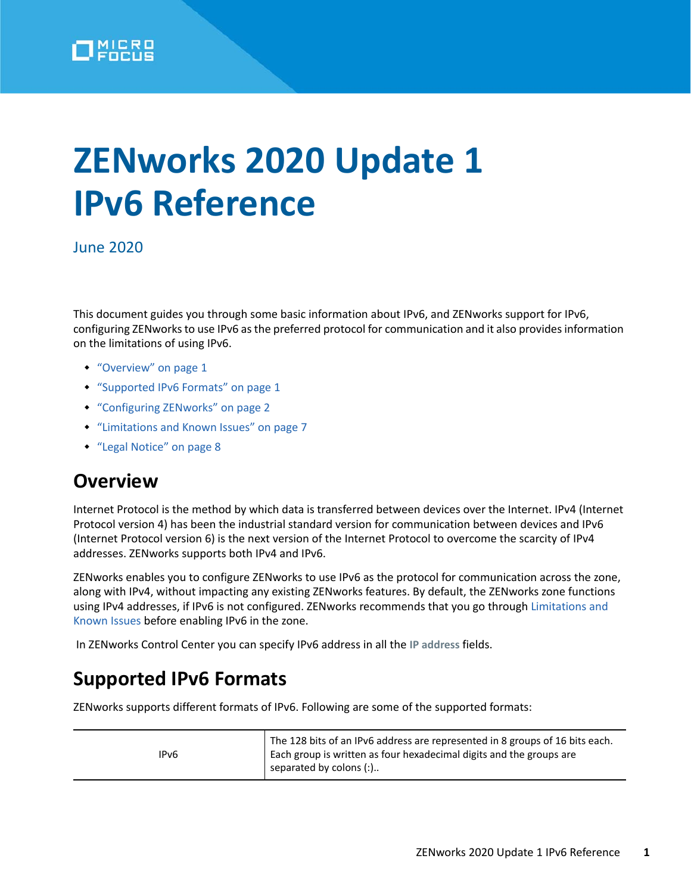

# **ZENworks 2020 Update 1 IPv6 Reference**

June 2020

This document guides you through some basic information about IPv6, and ZENworks support for IPv6, configuring ZENworks to use IPv6 as the preferred protocol for communication and it also provides information on the limitations of using IPv6.

- ["Overview" on page 1](#page-0-0)
- ["Supported IPv6 Formats" on page 1](#page-0-1)
- ["Configuring ZENworks" on page 2](#page-1-0)
- ["Limitations and Known Issues" on page 7](#page-6-0)
- ["Legal Notice" on page 8](#page-7-0)

## <span id="page-0-0"></span>**Overview**

Internet Protocol is the method by which data is transferred between devices over the Internet. IPv4 (Internet Protocol version 4) has been the industrial standard version for communication between devices and IPv6 (Internet Protocol version 6) is the next version of the Internet Protocol to overcome the scarcity of IPv4 addresses. ZENworks supports both IPv4 and IPv6.

ZENworks enables you to configure ZENworks to use IPv6 as the protocol for communication across the zone, along with IPv4, without impacting any existing ZENworks features. By default, the ZENworks zone functions using IPv4 addresses, if IPv6 is not configured. ZENworks recommends that you go through [Limitations and](#page-6-0)  [Known Issues](#page-6-0) before enabling IPv6 in the zone.

In ZENworks Control Center you can specify IPv6 address in all the **IP address** fields.

## <span id="page-0-1"></span>**Supported IPv6 Formats**

ZENworks supports different formats of IPv6. Following are some of the supported formats:

| IPv6 | The 128 bits of an IPv6 address are represented in 8 groups of 16 bits each.<br>Each group is written as four hexadecimal digits and the groups are<br>separated by colons (:) |
|------|--------------------------------------------------------------------------------------------------------------------------------------------------------------------------------|
|------|--------------------------------------------------------------------------------------------------------------------------------------------------------------------------------|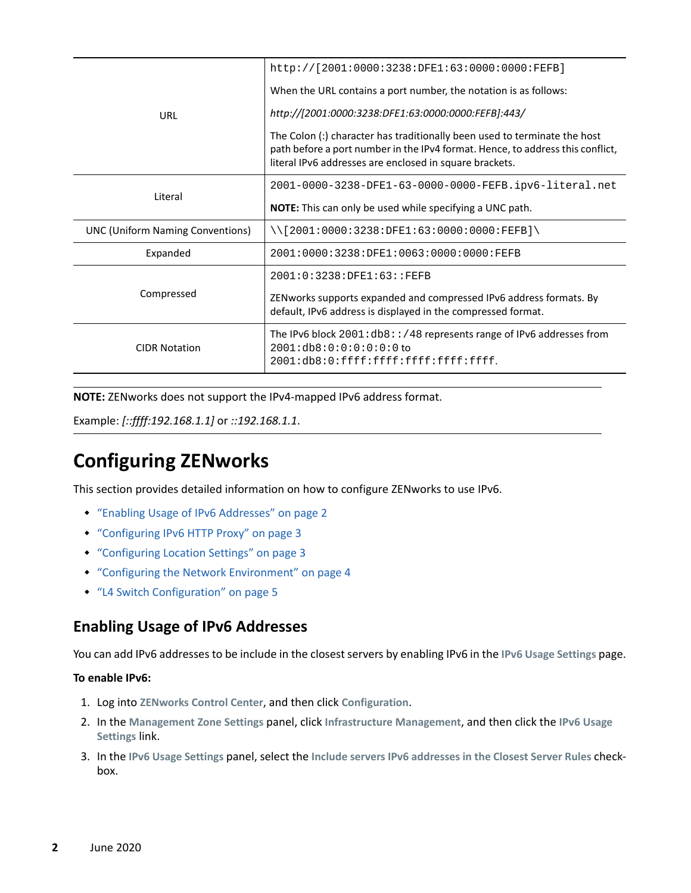|                                                                                                                                                                    | http://[2001:0000:3238:DFE1:63:0000:0000:FEFB]                                                                                                                                                                         |  |
|--------------------------------------------------------------------------------------------------------------------------------------------------------------------|------------------------------------------------------------------------------------------------------------------------------------------------------------------------------------------------------------------------|--|
|                                                                                                                                                                    | When the URL contains a port number, the notation is as follows:                                                                                                                                                       |  |
| URL                                                                                                                                                                | http://[2001:0000:3238:DFE1:63:0000:0000:FEFB]:443/                                                                                                                                                                    |  |
|                                                                                                                                                                    | The Colon (:) character has traditionally been used to terminate the host<br>path before a port number in the IPv4 format. Hence, to address this conflict,<br>literal IPv6 addresses are enclosed in square brackets. |  |
| Literal                                                                                                                                                            | 2001-0000-3238-DFE1-63-0000-0000-FEFB.ipv6-literal.net                                                                                                                                                                 |  |
|                                                                                                                                                                    | <b>NOTE:</b> This can only be used while specifying a UNC path.                                                                                                                                                        |  |
| <b>UNC (Uniform Naming Conventions)</b>                                                                                                                            | $\setminus$ [2001:0000:3238:DFE1:63:0000:0000:FEFB] $\setminus$                                                                                                                                                        |  |
| Expanded                                                                                                                                                           | 2001:0000:3238:DFE1:0063:0000:0000:FEFB                                                                                                                                                                                |  |
|                                                                                                                                                                    | 2001:0:3238:DFE1:63::FEFB                                                                                                                                                                                              |  |
| Compressed                                                                                                                                                         | ZENworks supports expanded and compressed IPv6 address formats. By<br>default, IPv6 address is displayed in the compressed format.                                                                                     |  |
| The IPv6 block $2001:$ db8:: /48 represents range of IPv6 addresses from<br>2001:db8:0:0:0:0:0:0:0<br><b>CIDR Notation</b><br>2001:db8:0:ffff:ffff:ffff:ffff:ffff: |                                                                                                                                                                                                                        |  |

**NOTE:** ZENworks does not support the IPv4-mapped IPv6 address format.

Example: *[::ffff:192.168.1.1]* or *::192.168.1.1*.

## <span id="page-1-0"></span>**Configuring ZENworks**

This section provides detailed information on how to configure ZENworks to use IPv6.

- ["Enabling Usage of IPv6 Addresses" on page 2](#page-1-1)
- ["Configuring IPv6 HTTP Proxy" on page 3](#page-2-0)
- ["Configuring Location Settings" on page 3](#page-2-1)
- ["Configuring the Network Environment" on page 4](#page-3-0)
- ["L4 Switch Configuration" on page 5](#page-4-0)

#### <span id="page-1-1"></span>**Enabling Usage of IPv6 Addresses**

You can add IPv6 addresses to be include in the closest servers by enabling IPv6 in the **IPv6 Usage Settings** page.

#### **To enable IPv6:**

- 1. Log into **ZENworks Control Center**, and then click **Configuration**.
- 2. In the **Management Zone Settings** panel, click **Infrastructure Management**, and then click the **IPv6 Usage Settings** link.
- 3. In the **IPv6 Usage Settings** panel, select the **Include servers IPv6 addresses in the Closest Server Rules** checkbox.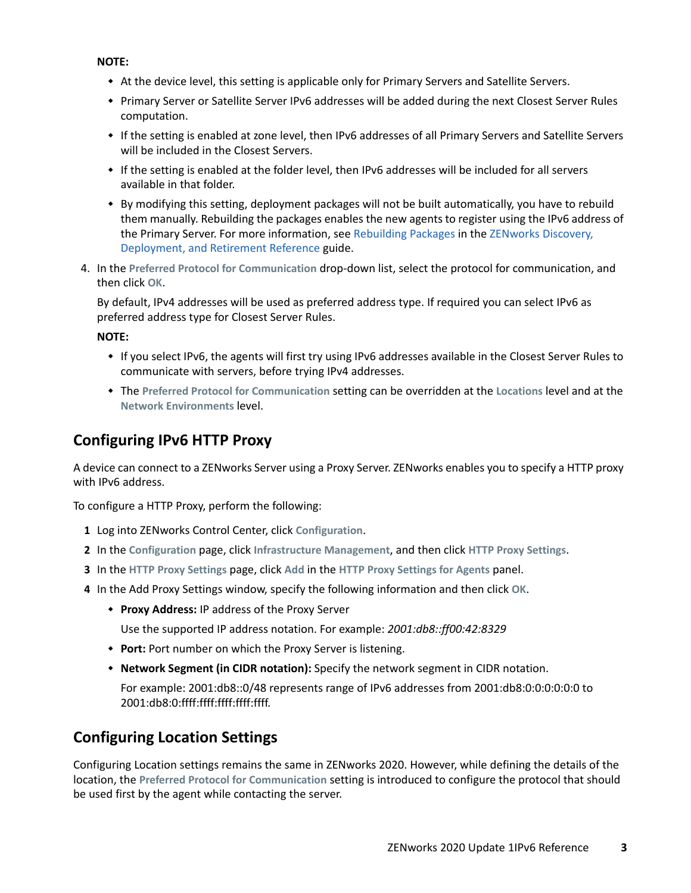**NOTE:** 

- At the device level, this setting is applicable only for Primary Servers and Satellite Servers.
- Primary Server or Satellite Server IPv6 addresses will be added during the next Closest Server Rules computation.
- If the setting is enabled at zone level, then IPv6 addresses of all Primary Servers and Satellite Servers will be included in the Closest Servers.
- If the setting is enabled at the folder level, then IPv6 addresses will be included for all servers available in that folder.
- By modifying this setting, deployment packages will not be built automatically, you have to rebuild them manually. Rebuilding the packages enables the new agents to register using the IPv6 address of the Primary Server. For more information, see [Rebuilding Packages](https://www.novell.com/documentation/zenworks-2020/pdfdoc/zen_discovery_deployment/zen_discovery_deployment.pdf#bjda39p) in the [ZENworks Discovery,](https://www.novell.com/documentation/zenworks-2020/pdfdoc/zen_discovery_deployment/zen_discovery_deployment.pdf#bookinfo)  [Deployment, and Retirement Reference](https://www.novell.com/documentation/zenworks-2020/pdfdoc/zen_discovery_deployment/zen_discovery_deployment.pdf#bookinfo) guide.
- 4. In the **Preferred Protocol for Communication** drop-down list, select the protocol for communication, and then click **OK**.

By default, IPv4 addresses will be used as preferred address type. If required you can select IPv6 as preferred address type for Closest Server Rules.

**NOTE:** 

- If you select IPv6, the agents will first try using IPv6 addresses available in the Closest Server Rules to communicate with servers, before trying IPv4 addresses.
- The **Preferred Protocol for Communication** setting can be overridden at the **Locations** level and at the **Network Environments** level.

#### <span id="page-2-0"></span>**Configuring IPv6 HTTP Proxy**

A device can connect to a ZENworks Server using a Proxy Server. ZENworks enables you to specify a HTTP proxy with IPv6 address.

To configure a HTTP Proxy, perform the following:

- **1** Log into ZENworks Control Center, click **Configuration**.
- **2** In the **Configuration** page, click **Infrastructure Management**, and then click **HTTP Proxy Settings**.
- **3** In the **HTTP Proxy Settings** page, click **Add** in the **HTTP Proxy Settings for Agents** panel.
- **4** In the Add Proxy Settings window, specify the following information and then click **OK**.
	- **Proxy Address:** IP address of the Proxy Server

Use the supported IP address notation. For example: *2001:db8::ff00:42:8329*

- **Port:** Port number on which the Proxy Server is listening.
- **Network Segment (in CIDR notation):** Specify the network segment in CIDR notation.

For example: 2001:db8::0/48 represents range of IPv6 addresses from 2001:db8:0:0:0:0:0:0 to 2001:db8:0:ffff:ffff:ffff:ffff:ffff.

### <span id="page-2-1"></span>**Configuring Location Settings**

Configuring Location settings remains the same in ZENworks 2020. However, while defining the details of the location, the **Preferred Protocol for Communication** setting is introduced to configure the protocol that should be used first by the agent while contacting the server.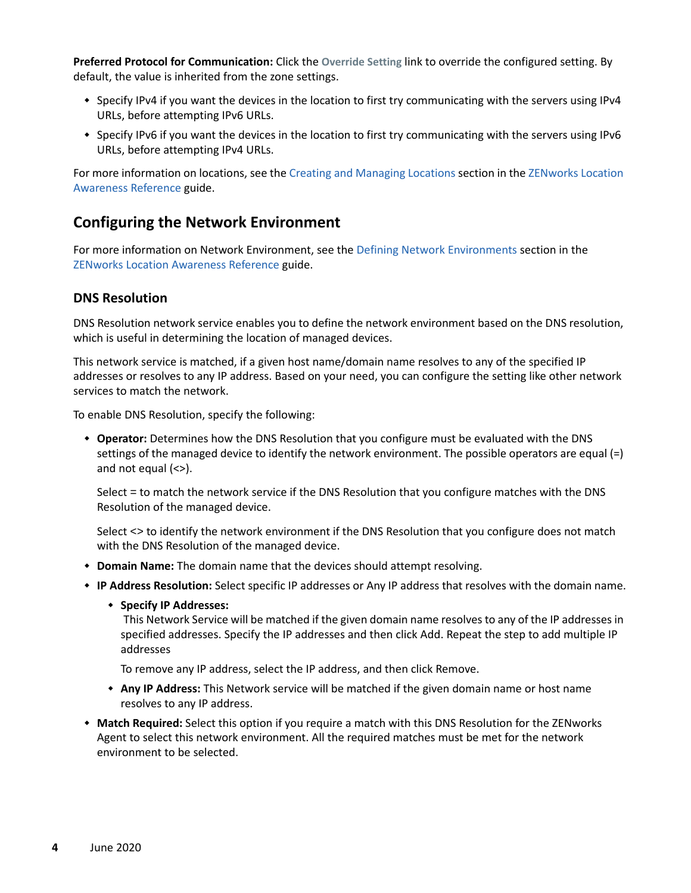**Preferred Protocol for Communication:** Click the **Override Setting** link to override the configured setting. By default, the value is inherited from the zone settings.

- Specify IPv4 if you want the devices in the location to first try communicating with the servers using IPv4 URLs, before attempting IPv6 URLs.
- Specify IPv6 if you want the devices in the location to first try communicating with the servers using IPv6 URLs, before attempting IPv4 URLs.

For more information on locations, see the [Creating and Managing Locations](https://www.novell.com/documentation/zenworks-2020/pdfdoc/zen_sys_location/zen_sys_location.pdf#boul03n) section in the [ZENworks Location](https://www.novell.com/documentation/zenworks-2020/pdfdoc/zen_sys_location/zen_sys_location.pdf#bookinfo)  [Awareness Reference](https://www.novell.com/documentation/zenworks-2020/pdfdoc/zen_sys_location/zen_sys_location.pdf#bookinfo) guide.

#### <span id="page-3-0"></span>**Configuring the Network Environment**

For more information on Network Environment, see the [Defining Network Environments](https://www.novell.com/documentation/zenworks-2020/pdfdoc/zen_sys_location/zen_sys_location.pdf#brxyrua) section in the [ZENworks Location Awareness Reference](https://www.novell.com/documentation/zenworks-2020/pdfdoc/zen_sys_location/zen_sys_location.pdf#bookinfo) guide.

#### **DNS Resolution**

DNS Resolution network service enables you to define the network environment based on the DNS resolution, which is useful in determining the location of managed devices.

This network service is matched, if a given host name/domain name resolves to any of the specified IP addresses or resolves to any IP address. Based on your need, you can configure the setting like other network services to match the network.

To enable DNS Resolution, specify the following:

 **Operator:** Determines how the DNS Resolution that you configure must be evaluated with the DNS settings of the managed device to identify the network environment. The possible operators are equal (=) and not equal (<>).

Select = to match the network service if the DNS Resolution that you configure matches with the DNS Resolution of the managed device.

Select <> to identify the network environment if the DNS Resolution that you configure does not match with the DNS Resolution of the managed device.

- **Domain Name:** The domain name that the devices should attempt resolving.
- **IP Address Resolution:** Select specific IP addresses or Any IP address that resolves with the domain name.
	- **Specify IP Addresses:**

This Network Service will be matched if the given domain name resolves to any of the IP addresses in specified addresses. Specify the IP addresses and then click Add. Repeat the step to add multiple IP addresses

To remove any IP address, select the IP address, and then click Remove.

- **Any IP Address:** This Network service will be matched if the given domain name or host name resolves to any IP address.
- **Match Required:** Select this option if you require a match with this DNS Resolution for the ZENworks Agent to select this network environment. All the required matches must be met for the network environment to be selected.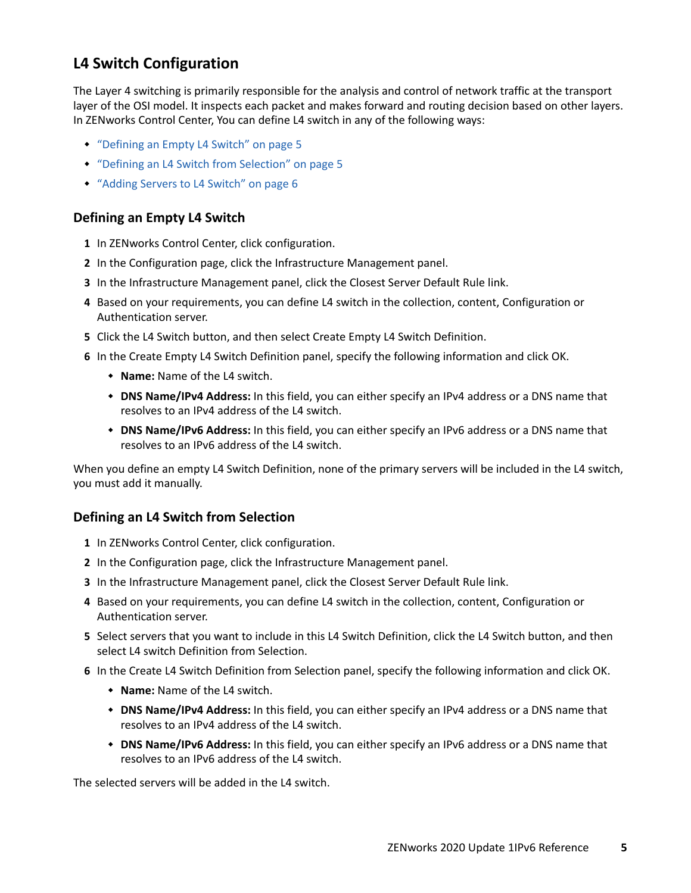## <span id="page-4-0"></span>**L4 Switch Configuration**

The Layer 4 switching is primarily responsible for the analysis and control of network traffic at the transport layer of the OSI model. It inspects each packet and makes forward and routing decision based on other layers. In ZENworks Control Center, You can define L4 switch in any of the following ways:

- ["Defining an Empty L4 Switch" on page 5](#page-4-1)
- ["Defining an L4 Switch from Selection" on page 5](#page-4-2)
- ["Adding Servers to L4 Switch" on page 6](#page-5-0)

#### <span id="page-4-1"></span>**Defining an Empty L4 Switch**

- **1** In ZENworks Control Center, click configuration.
- **2** In the Configuration page, click the Infrastructure Management panel.
- **3** In the Infrastructure Management panel, click the Closest Server Default Rule link.
- **4** Based on your requirements, you can define L4 switch in the collection, content, Configuration or Authentication server.
- **5** Click the L4 Switch button, and then select Create Empty L4 Switch Definition.
- **6** In the Create Empty L4 Switch Definition panel, specify the following information and click OK.
	- **Name:** Name of the L4 switch.
	- **DNS Name/IPv4 Address:** In this field, you can either specify an IPv4 address or a DNS name that resolves to an IPv4 address of the L4 switch.
	- **DNS Name/IPv6 Address:** In this field, you can either specify an IPv6 address or a DNS name that resolves to an IPv6 address of the L4 switch.

When you define an empty L4 Switch Definition, none of the primary servers will be included in the L4 switch, you must add it manually.

#### <span id="page-4-2"></span>**Defining an L4 Switch from Selection**

- **1** In ZENworks Control Center, click configuration.
- **2** In the Configuration page, click the Infrastructure Management panel.
- **3** In the Infrastructure Management panel, click the Closest Server Default Rule link.
- **4** Based on your requirements, you can define L4 switch in the collection, content, Configuration or Authentication server.
- **5** Select servers that you want to include in this L4 Switch Definition, click the L4 Switch button, and then select L4 switch Definition from Selection.
- **6** In the Create L4 Switch Definition from Selection panel, specify the following information and click OK.
	- **Name:** Name of the L4 switch.
	- **DNS Name/IPv4 Address:** In this field, you can either specify an IPv4 address or a DNS name that resolves to an IPv4 address of the L4 switch.
	- **DNS Name/IPv6 Address:** In this field, you can either specify an IPv6 address or a DNS name that resolves to an IPv6 address of the L4 switch.

The selected servers will be added in the L4 switch.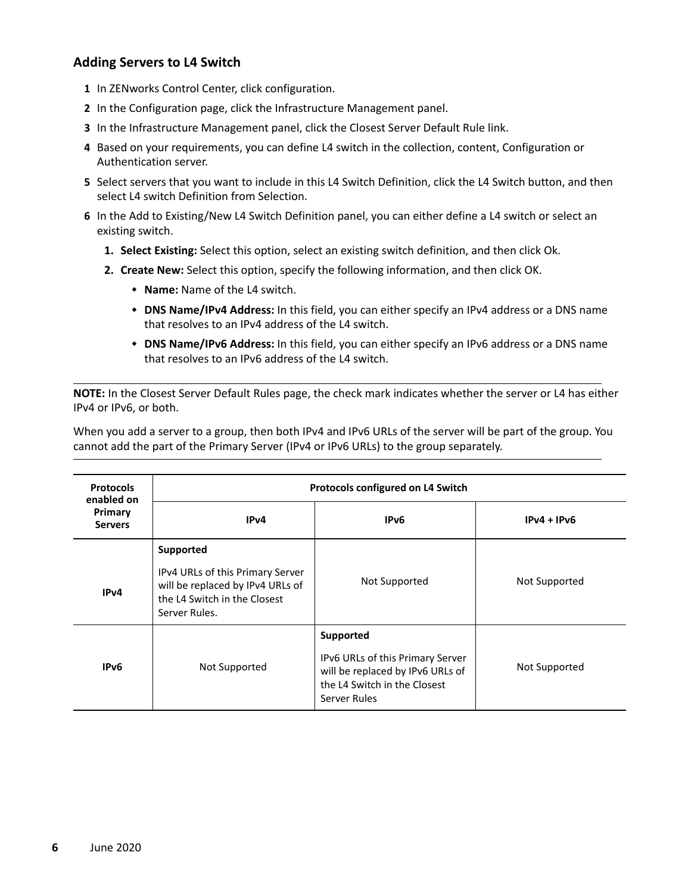#### <span id="page-5-0"></span>**Adding Servers to L4 Switch**

- **1** In ZENworks Control Center, click configuration.
- **2** In the Configuration page, click the Infrastructure Management panel.
- **3** In the Infrastructure Management panel, click the Closest Server Default Rule link.
- **4** Based on your requirements, you can define L4 switch in the collection, content, Configuration or Authentication server.
- **5** Select servers that you want to include in this L4 Switch Definition, click the L4 Switch button, and then select L4 switch Definition from Selection.
- **6** In the Add to Existing/New L4 Switch Definition panel, you can either define a L4 switch or select an existing switch.
	- **1. Select Existing:** Select this option, select an existing switch definition, and then click Ok.
	- **2. Create New:** Select this option, specify the following information, and then click OK.
		- **Name:** Name of the L4 switch.
		- **DNS Name/IPv4 Address:** In this field, you can either specify an IPv4 address or a DNS name that resolves to an IPv4 address of the L4 switch.
		- **DNS Name/IPv6 Address:** In this field, you can either specify an IPv6 address or a DNS name that resolves to an IPv6 address of the L4 switch.

**NOTE:** In the Closest Server Default Rules page, the check mark indicates whether the server or L4 has either IPv4 or IPv6, or both.

When you add a server to a group, then both IPv4 and IPv6 URLs of the server will be part of the group. You cannot add the part of the Primary Server (IPv4 or IPv6 URLs) to the group separately.

| <b>Protocols</b><br>enabled on<br>Primary<br><b>Servers</b> | Protocols configured on L4 Switch                                                                                                  |                                                                                                                                   |               |  |
|-------------------------------------------------------------|------------------------------------------------------------------------------------------------------------------------------------|-----------------------------------------------------------------------------------------------------------------------------------|---------------|--|
|                                                             | IP <sub>v</sub> 4                                                                                                                  | IP <sub>v6</sub>                                                                                                                  | $IPv4 + IPv6$ |  |
| IP <sub>v</sub> 4                                           | Supported<br>IPv4 URLs of this Primary Server<br>will be replaced by IPv4 URLs of<br>the L4 Switch in the Closest<br>Server Rules. | Not Supported                                                                                                                     | Not Supported |  |
| IPv <sub>6</sub>                                            | Not Supported                                                                                                                      | Supported<br>IPv6 URLs of this Primary Server<br>will be replaced by IPv6 URLs of<br>the L4 Switch in the Closest<br>Server Rules | Not Supported |  |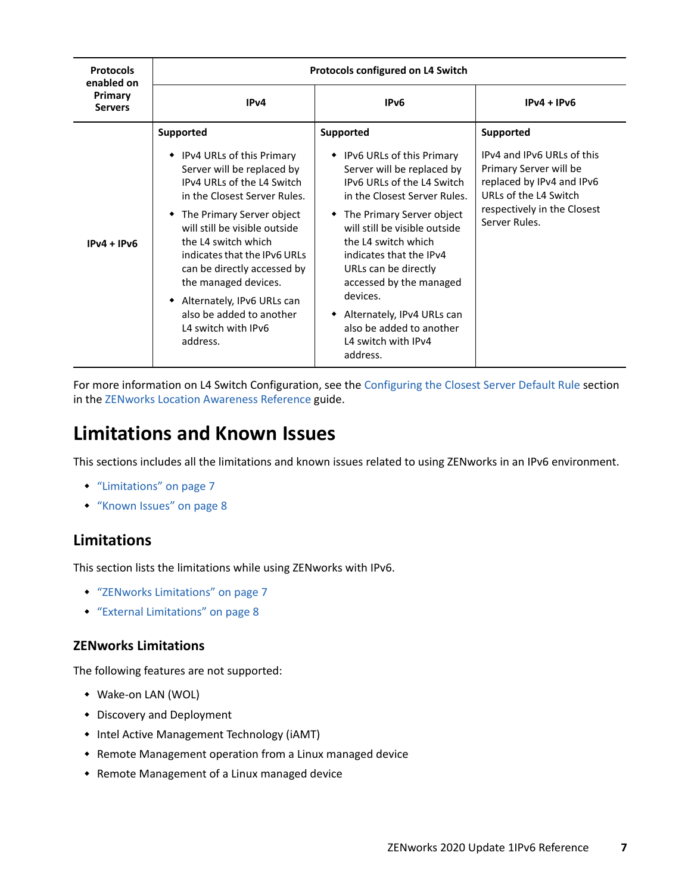| <b>Protocols</b><br>enabled on | Protocols configured on L4 Switch                                                                                                                                                                                                                                                                                                                                                                                        |                                                                                                                                                                                                                                                                                                                                                                                                                                        |                                                                                                                                                                         |
|--------------------------------|--------------------------------------------------------------------------------------------------------------------------------------------------------------------------------------------------------------------------------------------------------------------------------------------------------------------------------------------------------------------------------------------------------------------------|----------------------------------------------------------------------------------------------------------------------------------------------------------------------------------------------------------------------------------------------------------------------------------------------------------------------------------------------------------------------------------------------------------------------------------------|-------------------------------------------------------------------------------------------------------------------------------------------------------------------------|
| Primary<br><b>Servers</b>      | IP <sub>v</sub> 4                                                                                                                                                                                                                                                                                                                                                                                                        | IP <sub>v6</sub>                                                                                                                                                                                                                                                                                                                                                                                                                       | $IPv4 + IPv6$                                                                                                                                                           |
| $IPv4 + IPv6$                  | <b>Supported</b><br>• IPv4 URLs of this Primary<br>Server will be replaced by<br>IPv4 URLs of the L4 Switch<br>in the Closest Server Rules.<br>• The Primary Server object<br>will still be visible outside<br>the 14 switch which<br>indicates that the IPv6 URLs<br>can be directly accessed by<br>the managed devices.<br>• Alternately, IPv6 URLs can<br>also be added to another<br>L4 switch with IPv6<br>address. | <b>Supported</b><br>• IPv6 URLs of this Primary<br>Server will be replaced by<br>IPv6 URLs of the L4 Switch<br>in the Closest Server Rules.<br>• The Primary Server object<br>will still be visible outside<br>the 14 switch which<br>indicates that the IPv4<br>URLs can be directly<br>accessed by the managed<br>devices.<br>Alternately, IPv4 URLs can<br>$\bullet$<br>also be added to another<br>L4 switch with IPv4<br>address. | Supported<br>IPv4 and IPv6 URLs of this<br>Primary Server will be<br>replaced by IPv4 and IPv6<br>URLs of the L4 Switch<br>respectively in the Closest<br>Server Rules. |

For more information on L4 Switch Configuration, see the [Configuring the Closest Server Default Rule](https://www.novell.com/documentation/zenworks-2020/pdfdoc/zen_sys_location/zen_sys_location.pdf#bafj5yk) section in the [ZENworks Location Awareness Reference](https://www.novell.com/documentation/zenworks-2020/pdfdoc/zen_sys_location/zen_sys_location.pdf#bookinfo) guide.

## <span id="page-6-0"></span>**Limitations and Known Issues**

This sections includes all the limitations and known issues related to using ZENworks in an IPv6 environment.

- ["Limitations" on page 7](#page-6-1)
- ["Known Issues" on page 8](#page-7-1)

#### <span id="page-6-1"></span>**Limitations**

This section lists the limitations while using ZENworks with IPv6.

- ["ZENworks Limitations" on page 7](#page-6-2)
- ["External Limitations" on page 8](#page-7-2)

#### <span id="page-6-2"></span>**ZENworks Limitations**

The following features are not supported:

- Wake-on LAN (WOL)
- Discovery and Deployment
- Intel Active Management Technology (iAMT)
- Remote Management operation from a Linux managed device
- Remote Management of a Linux managed device